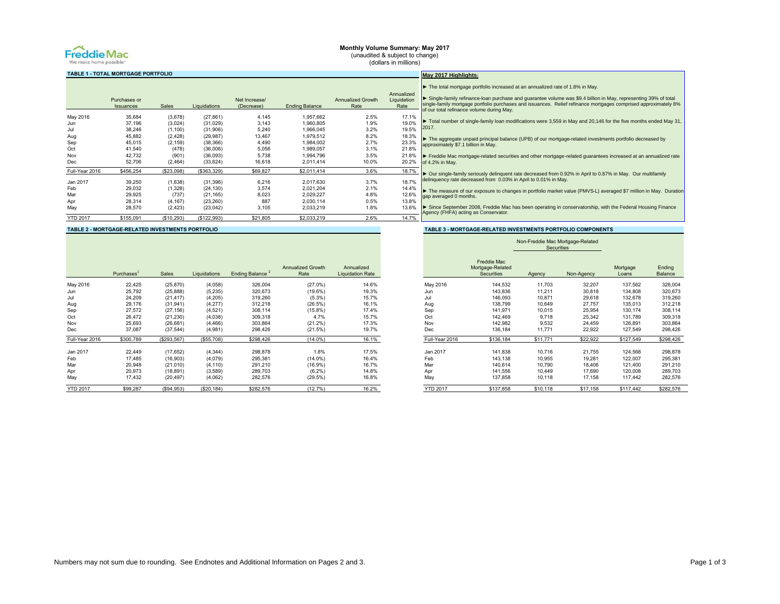

## **Monthly Volume Summary: May 2017** (unaudited & subject to change)

(dollars in millions)

**May 2017 Highlights:**

# **TABLE 1 - TOTAL MORTGAGE PORTFOLIO**

|                 |                  |              |              |               |                       |                          | Annualized  |
|-----------------|------------------|--------------|--------------|---------------|-----------------------|--------------------------|-------------|
|                 | Purchases or     |              |              | Net Increase/ |                       | <b>Annualized Growth</b> | Liquidation |
|                 | <b>Issuances</b> | <b>Sales</b> | Liquidations | (Decrease)    | <b>Ending Balance</b> | Rate                     | Rate        |
| May 2016        | 35.684           | (3,678)      | (27, 861)    | 4,145         | 1,957,662             | 2.5%                     | 17.1%       |
| Jun             | 37,196           | (3,024)      | (31, 029)    | 3,143         | 1.960.805             | 1.9%                     | 19.0%       |
| Jul             | 38,246           | (1, 100)     | (31,906)     | 5,240         | 1.966.045             | 3.2%                     | 19.5%       |
| Aug             | 45,882           | (2, 428)     | (29, 987)    | 13,467        | 1,979,512             | 8.2%                     | 18.3%       |
| Sep             | 45,015           | (2, 159)     | (38, 366)    | 4,490         | 1,984,002             | 2.7%                     | 23.3%       |
| Oct             | 41,540           | (478)        | (36,006)     | 5,056         | 1,989,057             | 3.1%                     | 21.8%       |
| Nov             | 42,732           | (901)        | (36,093)     | 5,738         | 1,994,796             | 3.5%                     | 21.8%       |
| <b>Dec</b>      | 52,706           | (2,464)      | (33, 624)    | 16,618        | 2.011.414             | 10.0%                    | 20.2%       |
| Full-Year 2016  | \$456,254        | (\$23,098)   | (\$363,329)  | \$69,827      | \$2,011,414           | 3.6%                     | 18.7%       |
| Jan 2017        | 39,250           | (1,638)      | (31, 396)    | 6,216         | 2,017,630             | 3.7%                     | 18.7%       |
| Feb             | 29,032           | (1,328)      | (24, 130)    | 3,574         | 2,021,204             | 2.1%                     | 14.4%       |
| Mar             | 29,925           | (737)        | (21, 165)    | 8,023         | 2,029,227             | 4.8%                     | 12.6%       |
| Apr             | 28,314           | (4, 167)     | (23, 260)    | 887           | 2,030,114             | 0.5%                     | 13.8%       |
| May             | 28,570           | (2, 423)     | (23, 042)    | 3,105         | 2.033.219             | 1.8%                     | 13.6%       |
| <b>YTD 2017</b> | \$155,091        | (\$10,293)   | (\$122,993)  | \$21,805      | \$2,033,219           | 2.6%                     | 14.7%       |

# ized ation Rate ▶ Single-family refinance-loan purchase and guarantee volume was \$9.4 billion in May, representing 39% of total<br>single-family mortgage portfolio purchases and issuances. Relief refinance mortgages comprised approximately ► Total number of single-family loan modifications were 3,559 in May and 20,146 for the five months ended May 31, 2017. ► The aggregate unpaid principal balance (UPB) of our mortgage-related investments portfolio decreased by approximately \$7.1 billion in May. ► Freddie Mac mortgage-related securities and other mortgage-related guarantees increased at an annualized rate of 4.2% in May. ► Our single-family seriously delinquent rate decreased from 0.92% in April to 0.87% in May. Our multifamily delinquency rate decreased from 0.03% in April to 0.01% in May. ► The measure of our exposure to changes in portfolio market value (PMVS-L) averaged \$7 million in May. Duration gap averaged 0 months. ► Since September 2008, Freddie Mac has been operating in conservatorship, with the Federal Housing Finance Agency (FHFA) acting as Conservator.

► The total mortgage portfolio increased at an annualized rate of 1.8% in May.

# **TABLE 2 - MORTGAGE-RELATED INVESTMENTS PORTFOLIO TABLE 3 - MORTGAGE-RELATED INVESTMENTS PORTFOLIO COMPONENTS**

|                 | Purchases | <b>Sales</b> | Liquidations | Ending Balance | <b>Annualized Growth</b><br>Rate | Annualized<br><b>Liquidation Rate</b> |                 | Freddie Mac<br>Mortgage-Related<br><b>Securities</b> | Agency   | Non-Agency | Mortgage<br>Loans | Ending<br>Balance |
|-----------------|-----------|--------------|--------------|----------------|----------------------------------|---------------------------------------|-----------------|------------------------------------------------------|----------|------------|-------------------|-------------------|
| May 2016        | 22,425    | (25, 870)    | (4,058)      | 326,004        | $(27.0\%)$                       | 14.6%                                 | May 2016        | 144,532                                              | 11,703   | 32,207     | 137,562           | 326,004           |
| Jun             | 25,792    | (25, 888)    | (5, 235)     | 320.673        | (19.6%)                          | 19.3%                                 | Jun             | 143,836                                              | 11,211   | 30,818     | 134,808           | 320,673           |
| Jul             | 24,209    | (21, 417)    | (4, 205)     | 319,260        | $(5.3\%)$                        | 15.7%                                 | Jul             | 146,093                                              | 10,871   | 29,618     | 132,678           | 319,260           |
| Aug             | 29,176    | (31, 941)    | (4, 277)     | 312,218        | (26.5%)                          | 16.1%                                 | Aug             | 138,799                                              | 10,649   | 27,757     | 135,013           | 312,218           |
| Sep             | 27,572    | (27, 156)    | (4, 521)     | 308,114        | $(15.8\%)$                       | 17.4%                                 | Sep             | 141,971                                              | 10,015   | 25,954     | 130,174           | 308,114           |
| Oct             | 26,472    | (21, 230)    | (4,038)      | 309,318        | 4.7%                             | 15.7%                                 | Oct             | 142,469                                              | 9,718    | 25,342     | 131,789           | 309,318           |
| Nov             | 25,693    | (26, 681)    | (4, 466)     | 303,864        | (21.2%)                          | 17.3%                                 | Nov             | 142,982                                              | 9,532    | 24,459     | 126,891           | 303,864           |
| Dec             | 37,087    | (37, 544)    | (4,981)      | 298,426        | (21.5%)                          | 19.7%                                 | Dec             | 136,184                                              | 11,771   | 22,922     | 127,549           | 298,426           |
| Full-Year 2016  | \$300,789 | (\$293,567)  | (\$55,708)   | \$298,426      | $(14.0\%)$                       | 16.1%                                 |                 | Full-Year 2016<br>\$136,184                          | \$11,771 | \$22,922   | \$127,549         | \$298,426         |
| Jan 2017        | 22,449    | (17, 652)    | (4, 344)     | 298,878        | 1.8%                             | 17.5%                                 | Jan 2017        | 141,838                                              | 10,716   | 21,755     | 124,568           | 298,878           |
| Feb             | 17,485    | (16, 903)    | (4,079)      | 295.381        | $(14.0\%)$                       | 16.4%                                 | Feb             | 143.138                                              | 10,955   | 19,281     | 122,007           | 295,381           |
| Mar             | 20,948    | (21, 010)    | (4, 110)     | 291,210        | (16.9%)                          | 16.7%                                 | Mar             | 140,614                                              | 10,790   | 18,406     | 121,400           | 291,210           |
| Apr             | 20,973    | (18, 891)    | (3,589)      | 289,703        | $(6.2\%)$                        | 14.8%                                 | Apr             | 141,556                                              | 10,449   | 17,690     | 120,008           | 289,703           |
| May             | 17,432    | (20, 497)    | (4,062)      | 282,576        | (29.5%)                          | 16.8%                                 | May             | 137,858                                              | 10,118   | 17,158     | 117,442           | 282,576           |
| <b>YTD 2017</b> | \$99,287  | (\$94,953)   | (\$20, 184)  | \$282,576      | (12.7%)                          | 16.2%                                 | <b>YTD 2017</b> | \$137,858                                            | \$10,118 | \$17,158   | \$117,442         | \$282,576         |

|                 |                                                      | Securities |            |                   |                          |
|-----------------|------------------------------------------------------|------------|------------|-------------------|--------------------------|
|                 | <b>Freddie Mac</b><br>Mortgage-Related<br>Securities | Agency     | Non-Agency | Mortgage<br>Loans | Ending<br><b>Balance</b> |
| May 2016        | 144.532                                              | 11.703     | 32,207     | 137,562           | 326,004                  |
| Jun             | 143.836                                              | 11,211     | 30.818     | 134,808           | 320.673                  |
| Jul             | 146.093                                              | 10,871     | 29,618     | 132,678           | 319,260                  |
| Aug             | 138.799                                              | 10.649     | 27.757     | 135,013           | 312,218                  |
| Sep             | 141.971                                              | 10.015     | 25.954     | 130.174           | 308.114                  |
| Oct             | 142.469                                              | 9.718      | 25.342     | 131.789           | 309.318                  |
| Nov             | 142.982                                              | 9,532      | 24,459     | 126,891           | 303,864                  |
| Dec             | 136.184                                              | 11,771     | 22,922     | 127,549           | 298,426                  |
| Full-Year 2016  | \$136,184                                            | \$11,771   | \$22,922   | \$127,549         | \$298,426                |
| Jan 2017        | 141,838                                              | 10,716     | 21,755     | 124,568           | 298,878                  |
| Feb             | 143.138                                              | 10.955     | 19.281     | 122.007           | 295.381                  |
| Mar             | 140.614                                              | 10.790     | 18.406     | 121.400           | 291.210                  |
| Apr             | 141.556                                              | 10,449     | 17,690     | 120,008           | 289,703                  |
| May             | 137.858                                              | 10,118     | 17,158     | 117,442           | 282,576                  |
| <b>YTD 2017</b> | \$137.858                                            | \$10.118   | \$17,158   | \$117.442         | \$282.576                |

Non-Freddie Mac Mortgage-Related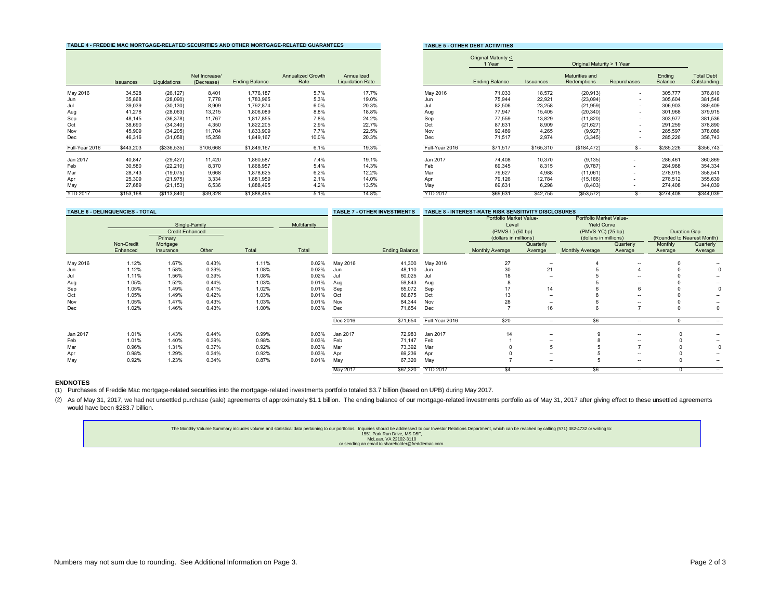# **TABLE 4 - FREDDIE MAC MORTGAGE-RELATED SECURITIES AND OTHER MORTGAGE-RELATED GUARANTEES THER BEILE 5 - OTHER DE**

|                 |           |              |                             |                       |                                  |                                       |                 |                       |           | ∪Humal Maturity > Trear       |                          |                   |                                  |
|-----------------|-----------|--------------|-----------------------------|-----------------------|----------------------------------|---------------------------------------|-----------------|-----------------------|-----------|-------------------------------|--------------------------|-------------------|----------------------------------|
|                 | Issuances | Liquidations | Net Increase/<br>(Decrease) | <b>Ending Balance</b> | <b>Annualized Growth</b><br>Rate | Annualized<br><b>Liquidation Rate</b> |                 | <b>Ending Balance</b> | Issuances | Maturities and<br>Redemptions | Repurchases              | Ending<br>Balance | <b>Total Debt</b><br>Outstanding |
| May 2016        | 34,528    | (26, 127)    | 8.401                       | 1,776,187             | 5.7%                             | 17.7%                                 | May 2016        | 71,033                | 18,572    | (20, 913)                     |                          | 305,777           |                                  |
| Jun             | 35,868    | (28,090)     | 7,778                       | 1,783,965             | 5.3%                             | 19.0%                                 | Jun             | 75,944                | 22,921    | (23,094)                      | $\overline{\phantom{a}}$ | 305,604           |                                  |
| Jul             | 39,039    | (30, 130)    | 8,909                       | 1,792,874             | 6.0%                             | 20.3%                                 | Jul             | 82,506                | 23,258    | (21, 959)                     |                          | 306,903           |                                  |
| Aug             | 41,278    | (28,063)     | 13,215                      | 1,806,089             | 8.8%                             | 18.8%                                 | Aug             | 77,947                | 15,405    | (20, 340)                     | $\overline{\phantom{a}}$ | 301,968           |                                  |
| Sep             | 48,145    | (36, 378)    | 11,767                      | 1,817,855             | 7.8%                             | 24.2%                                 | Sep             | 77,559                | 13,829    | (11, 820)                     | $\sim$                   | 303,977           |                                  |
| Oct             | 38,690    | (34, 340)    | 4.350                       | 1,822,205             | 2.9%                             | 22.7%                                 | Oct             | 87,631                | 8.909     | (21, 627)                     | $\sim$                   | 291,259           |                                  |
| Nov             | 45,909    | (34, 205)    | 11.704                      | 1,833,909             | 7.7%                             | 22.5%                                 | Nov             | 92,489                | 4,265     | (9,927)                       | $\overline{\phantom{a}}$ | 285,597           |                                  |
| Dec             | 46,316    | (31,058)     | 15,258                      | 1,849,167             | 10.0%                            | 20.3%                                 | Dec             | 71,517                | 2.974     | (3, 345)                      | $\sim$                   | 285,226           |                                  |
| Full-Year 2016  | \$443.203 | (\$336,535)  | \$106,668                   | \$1,849,167           | 6.1%                             | 19.3%                                 | Full-Year 2016  | \$71,517              | \$165,310 | (\$184,472)                   | S –                      | \$285.226         |                                  |
| Jan 2017        | 40,847    | (29, 427)    | 11,420                      | 1,860,587             | 7.4%                             | 19.1%                                 | Jan 2017        | 74,408                | 10,370    | (9, 135)                      |                          | 286,461           |                                  |
| Feb             | 30,580    | (22, 210)    | 8,370                       | 1,868,957             | 5.4%                             | 14.3%                                 | Feb             | 69,345                | 8,315     | (9,787)                       | $\sim$                   | 284,988           |                                  |
| Mar             | 28,743    | (19,075)     | 9,668                       | 1,878,625             | 6.2%                             | 12.2%                                 | Mar             | 79,627                | 4.988     | (11,061)                      |                          | 278,915           |                                  |
| Apr             | 25,309    | (21, 975)    | 3,334                       | 1,881,959             | 2.1%                             | 14.0%                                 | Apr             | 79,126                | 12,784    | (15, 186)                     |                          | 276,512           |                                  |
| May             | 27,689    | (21, 153)    | 6,536                       | 1,888,495             | 4.2%                             | 13.5%                                 | May             | 69,631                | 6,298     | (8, 403)                      | $\sim$                   | 274,408           |                                  |
| <b>YTD 2017</b> | \$153.168 | (S113, 840)  | \$39,328                    | \$1,888,495           | 5.1%                             | 14.8%                                 | <b>YTD 2017</b> | \$69,631              | \$42,755  | (\$53,572)                    | $\mathbf{x}$ .           | \$274,408         |                                  |

|                 |           |              |                             |                       | APLE THERPIE MAY MYNTYAYE NEEATEP VEYVNITEV AND VITIEN MYNTYAYE NEEATEP YVANAN EEV |                                       |                 | <b>IABLE 3 - OTHER DEBT ACTIVITIES</b> |           |                               |                          |                   |                                  |
|-----------------|-----------|--------------|-----------------------------|-----------------------|------------------------------------------------------------------------------------|---------------------------------------|-----------------|----------------------------------------|-----------|-------------------------------|--------------------------|-------------------|----------------------------------|
|                 |           |              |                             |                       |                                                                                    |                                       |                 | Original Maturity <<br>1 Year          |           | Original Maturity > 1 Year    |                          |                   |                                  |
|                 | Issuances | Liquidations | Net Increase/<br>(Decrease) | <b>Ending Balance</b> | Annualized Growth<br>Rate                                                          | Annualized<br><b>Liquidation Rate</b> |                 | <b>Ending Balance</b>                  | Issuances | Maturities and<br>Redemptions | Repurchases              | Ending<br>Balance | <b>Total Debt</b><br>Outstanding |
| May 2016        | 34,528    | (26, 127)    | 8,401                       | 1,776,187             | 5.7%                                                                               | 17.7%                                 | May 2016        | 71,033                                 | 18,572    | (20, 913)                     | $\overline{\phantom{a}}$ | 305,777           | 376,810                          |
| Jun             | 35,868    | (28,090)     | 7,778                       | 1,783,965             | 5.3%                                                                               | 19.0%                                 | Jun             | 75,944                                 | 22,921    | (23,094)                      | $\overline{\phantom{a}}$ | 305,604           | 381,548                          |
| Jul             | 39,039    | (30, 130)    | 8,909                       | 1,792,874             | 6.0%                                                                               | 20.3%                                 | Jul             | 82,506                                 | 23,258    | (21, 959)                     |                          | 306,903           | 389,409                          |
| Aug             | 41,278    | (28,063)     | 13,215                      | 1,806,089             | 8.8%                                                                               | 18.8%                                 | Aug             | 77,947                                 | 15,405    | (20, 340)                     | $\overline{\phantom{a}}$ | 301,968           | 379,915                          |
| Sep             | 48,145    | (36, 378)    | 11,767                      | 1,817,855             | 7.8%                                                                               | 24.2%                                 | Sep             | 77,559                                 | 13,829    | (11, 820)                     | $\overline{\phantom{a}}$ | 303,977           | 381,536                          |
| Oct             | 38,690    | (34, 340)    | 4,350                       | 1,822,205             | 2.9%                                                                               | 22.7%                                 | Oct             | 87,631                                 | 8,909     | (21, 627)                     | $\overline{\phantom{a}}$ | 291,259           | 378,890                          |
| Nov             | 45,909    | (34, 205)    | 11,704                      | 1,833,909             | 7.7%                                                                               | 22.5%                                 | Nov             | 92,489                                 | 4,265     | (9,927)                       | $\overline{\phantom{a}}$ | 285,597           | 378,086                          |
| Dec             | 46,316    | (31,058)     | 15,258                      | 1,849,167             | 10.0%                                                                              | 20.3%                                 | Dec             | 71,517                                 | 2,974     | (3, 345)                      | $\overline{\phantom{a}}$ | 285,226           | 356,743                          |
| Full-Year 2016  | \$443,203 | (\$336,535)  | \$106,668                   | \$1,849,167           | 6.1%                                                                               | 19.3%                                 | Full-Year 2016  | \$71,517                               | \$165,310 | (\$184,472)                   | $S -$                    | \$285,226         | \$356,743                        |
| Jan 2017        | 40,847    | (29, 427)    | 11,420                      | 1,860,587             | 7.4%                                                                               | 19.1%                                 | Jan 2017        | 74,408                                 | 10,370    | (9, 135)                      | $\sim$                   | 286,461           | 360,869                          |
| Feb             | 30,580    | (22, 210)    | 8,370                       | 1,868,957             | 5.4%                                                                               | 14.3%                                 | Feb             | 69,345                                 | 8,315     | (9,787)                       |                          | 284,988           | 354,334                          |
| Mar             | 28,743    | (19,075)     | 9,668                       | 1,878,625             | 6.2%                                                                               | 12.2%                                 | Mar             | 79,627                                 | 4,988     | (11,061)                      |                          | 278,915           | 358,541                          |
| Apr             | 25,309    | (21, 975)    | 3,334                       | 1,881,959             | 2.1%                                                                               | 14.0%                                 | Apr             | 79,126                                 | 12,784    | (15, 186)                     | $\sim$                   | 276,512           | 355,639                          |
| May             | 27,689    | (21, 153)    | 6,536                       | 1,888,495             | 4.2%                                                                               | 13.5%                                 | May             | 69,631                                 | 6,298     | (8, 403)                      |                          | 274,408           | 344,039                          |
| <b>YTD 2017</b> | \$153,168 | (S113, 840)  | \$39,328                    | \$1,888,495           | 5.1%                                                                               | 14.8%                                 | <b>YTD 2017</b> | \$69,631                               | \$42,755  | (\$53,572)                    | $\mathbf{s}$ -           | \$274,408         | \$344,039                        |

|          | <b>TABLE 6 - DELINQUENCIES - TOTAL</b> |                                   |               |       |             |          | <b>TABLE 7 - OTHER INVESTMENTS</b> |                 | <b>TABLE 8 - INTEREST-RATE RISK SENSITIVITY DISCLOSURES</b> |                          |                                               |                      |                     |                            |
|----------|----------------------------------------|-----------------------------------|---------------|-------|-------------|----------|------------------------------------|-----------------|-------------------------------------------------------------|--------------------------|-----------------------------------------------|----------------------|---------------------|----------------------------|
|          |                                        |                                   | Single-Family |       | Multifamily |          |                                    |                 | Portfolio Market Value-<br>Level                            |                          | Portfolio Market Value-<br><b>Yield Curve</b> |                      |                     |                            |
|          |                                        | <b>Credit Enhanced</b><br>Primary |               |       |             |          |                                    |                 | (PMVS-L) (50 bp)<br>(dollars in millions)                   |                          | (PMVS-YC) (25 bp)<br>(dollars in millions)    |                      | <b>Duration Gap</b> | (Rounded to Nearest Month) |
|          | Non-Credit<br>Enhanced                 | Mortgage<br>Insurance             | Other         | Total | Total       |          | <b>Ending Balance</b>              |                 | Monthly Average                                             | Quarterly<br>Average     | <b>Monthly Average</b>                        | Quarterly<br>Average | Monthly<br>Average  | Quarterly<br>Average       |
| May 2016 | 1.12%                                  | 1.67%                             | 0.43%         | 1.11% | 0.02%       | May 2016 | 41,300                             | May 2016        | 27                                                          | $\sim$                   |                                               | --                   |                     |                            |
| Jun      | 1.12%                                  | 1.58%                             | 0.39%         | 1.08% | 0.02%       | Jun      | 48,110                             | Jun             | 30                                                          | 21                       |                                               |                      |                     |                            |
| Jul      | 1.11%                                  | 1.56%                             | 0.39%         | 1.08% | 0.02%       | Jul      | 60,025                             | Jul             |                                                             | --                       |                                               |                      |                     |                            |
| Aug      | 1.05%                                  | 1.52%                             | 0.44%         | 1.03% | 0.01%       | Aug      | 59,843                             | Aug             |                                                             |                          |                                               |                      |                     |                            |
| Sep      | 1.05%                                  | 1.49%                             | 0.41%         | 1.02% | 0.01%       | Sep      | 65,072                             | Sep             |                                                             | 14                       |                                               |                      |                     |                            |
| Oct      | 1.05%                                  | 1.49%                             | 0.42%         | 1.03% | 0.01%       | Oct      | 66,875                             | Oct             | 13                                                          | --                       |                                               |                      |                     |                            |
| Nov      | 1.05%                                  | 1.47%                             | 0.43%         | 1.03% | 0.01%       | Nov      | 84,344                             | Nov             | 28                                                          | $\overline{\phantom{a}}$ |                                               |                      |                     | $\overline{\phantom{a}}$   |
| Dec      | 1.02%                                  | 1.46%                             | 0.43%         | 1.00% | 0.03%       | Dec      | 71,654                             | Dec             |                                                             | 16                       |                                               |                      |                     |                            |
|          |                                        |                                   |               |       |             | Dec 2016 | \$71,654                           | Full-Year 2016  | \$20                                                        | $\sim$                   | \$6                                           | $\sim$               |                     | $\sim$                     |
| Jan 2017 | 1.01%                                  | 1.43%                             | 0.44%         | 0.99% | 0.03%       | Jan 2017 | 72,983                             | Jan 2017        | 14                                                          | $\overline{\phantom{a}}$ |                                               | --                   |                     | $\overline{\phantom{a}}$   |
| Feb      | 1.01%                                  | 1.40%                             | 0.39%         | 0.98% | 0.03%       | Feb      | 71,147                             | Feb             |                                                             | --                       |                                               | --                   |                     |                            |
| Mar      | 0.96%                                  | 1.31%                             | 0.37%         | 0.92% | 0.03%       | Mar      | 73,392                             | Mar             |                                                             |                          |                                               |                      |                     |                            |
| Apr      | 0.98%                                  | 1.29%                             | 0.34%         | 0.92% | 0.03%       | Apr      | 69,236                             | Apr             |                                                             | --                       |                                               | --                   |                     | $\overline{\phantom{a}}$   |
| May      | 0.92%                                  | 1.23%                             | 0.34%         | 0.87% | 0.01%       | May      | 67,320                             | May             |                                                             | $\sim$                   |                                               | --                   |                     | $\overline{\phantom{a}}$   |
|          |                                        |                                   |               |       |             | May 2017 | \$67,320                           | <b>YTD 2017</b> | \$4                                                         | $\overline{\phantom{a}}$ | \$6                                           | --                   |                     | $\sim$                     |

# **ENDNOTES**

(1) Purchases of Freddie Mac mortgage-related securities into the mortgage-related investments portfolio totaled \$3.7 billion (based on UPB) during May 2017.

(2) As of May 31, 2017, we had net unsettled purchase (sale) agreements of approximately \$1.1 billion. The ending balance of our mortgage-related investments portfolio as of May 31, 2017 after giving effect to these unsett would have been \$283.7 billion.

| The Monthly Volume Summary includes volume and statistical data pertaining to our portfolios. Inquiries should be addressed to our Investor Relations Department, which can be reached by calling (571) 382-4732 or writing to |
|--------------------------------------------------------------------------------------------------------------------------------------------------------------------------------------------------------------------------------|
| 1551 Park Run Drive, MS D5F.                                                                                                                                                                                                   |
| McLean, VA 22102-3110                                                                                                                                                                                                          |
| or sending an email to shareholder@freddiemac.com.                                                                                                                                                                             |